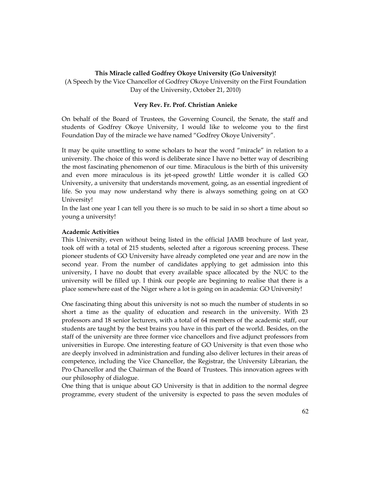### **This Miracle called Godfrey Okoye University (Go University)!**

(A Speech by the Vice Chancellor of Godfrey Okoye University on the First Foundation Day of the University, October 21, 2010)

#### **Very Rev. Fr. Prof. Christian Anieke**

On behalf of the Board of Trustees, the Governing Council, the Senate, the staff and students of Godfrey Okoye University, I would like to welcome you to the first Foundation Day of the miracle we have named "Godfrey Okoye University".

It may be quite unsettling to some scholars to hear the word "miracle" in relation to a university. The choice of this word is deliberate since I have no better way of describing the most fascinating phenomenon of our time. Miraculous is the birth of this university and even more miraculous is its jet-speed growth! Little wonder it is called GO University, a university that understands movement, going, as an essential ingredient of life. So you may now understand why there is always something going on at GO University!

In the last one year I can tell you there is so much to be said in so short a time about so young a university!

#### **Academic Activities**

This University, even without being listed in the official JAMB brochure of last year, took off with a total of 215 students, selected after a rigorous screening process. These pioneer students of GO University have already completed one year and are now in the second year. From the number of candidates applying to get admission into this university, I have no doubt that every available space allocated by the NUC to the university will be filled up. I think our people are beginning to realise that there is a place somewhere east of the Niger where a lot is going on in academia: GO University!

One fascinating thing about this university is not so much the number of students in so short a time as the quality of education and research in the university. With 23 professors and 18 senior lecturers, with a total of 64 members of the academic staff, our students are taught by the best brains you have in this part of the world. Besides, on the staff of the university are three former vice chancellors and five adjunct professors from universities in Europe. One interesting feature of GO University is that even those who are deeply involved in administration and funding also deliver lectures in their areas of competence, including the Vice Chancellor, the Registrar, the University Librarian, the Pro Chancellor and the Chairman of the Board of Trustees. This innovation agrees with our philosophy of dialogue.

One thing that is unique about GO University is that in addition to the normal degree programme, every student of the university is expected to pass the seven modules of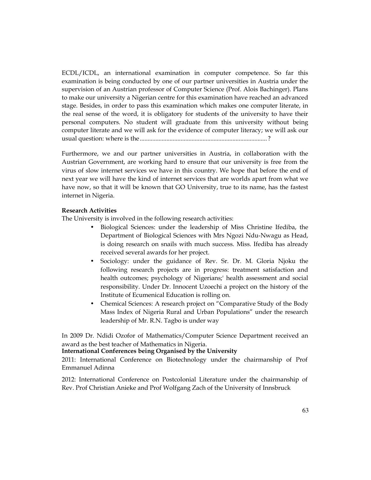ECDL/ICDL, an international examination in computer competence. So far this examination is being conducted by one of our partner universities in Austria under the supervision of an Austrian professor of Computer Science (Prof. Alois Bachinger). Plans to make our university a Nigerian centre for this examination have reached an advanced stage. Besides, in order to pass this examination which makes one computer literate, in the real sense of the word, it is obligatory for students of the university to have their personal computers. No student will graduate from this university without being computer literate and we will ask for the evidence of computer literacy; we will ask our usual question: where is the ................................................................................. ?

Furthermore, we and our partner universities in Austria, in collaboration with the Austrian Government, are working hard to ensure that our university is free from the virus of slow internet services we have in this country. We hope that before the end of next year we will have the kind of internet services that are worlds apart from what we have now, so that it will be known that GO University, true to its name, has the fastest internet in Nigeria.

# **Research Activities**

The University is involved in the following research activities:

- Biological Sciences: under the leadership of Miss Christine Ifediba, the Department of Biological Sciences with Mrs Ngozi Ndu-Nwagu as Head, is doing research on snails with much success. Miss. Ifediba has already received several awards for her project.
- Sociology: under the guidance of Rev. Sr. Dr. M. Gloria Njoku the following research projects are in progress: treatment satisfaction and health outcomes; psychology of Nigerians;' health assessment and social responsibility. Under Dr. Innocent Uzoechi a project on the history of the Institute of Ecumenical Education is rolling on.
- Chemical Sciences: A research project on "Comparative Study of the Body Mass Index of Nigeria Rural and Urban Populations" under the research leadership of Mr. R.N. Tagbo is under way

In 2009 Dr. Ndidi Ozofor of Mathematics/Computer Science Department received an award as the best teacher of Mathematics in Nigeria.

**International Conferences being Organised by the University** 

2011: International Conference on Biotechnology under the chairmanship of Prof Emmanuel Adinna

2012: International Conference on Postcolonial Literature under the chairmanship of Rev. Prof Christian Anieke and Prof Wolfgang Zach of the University of Innsbruck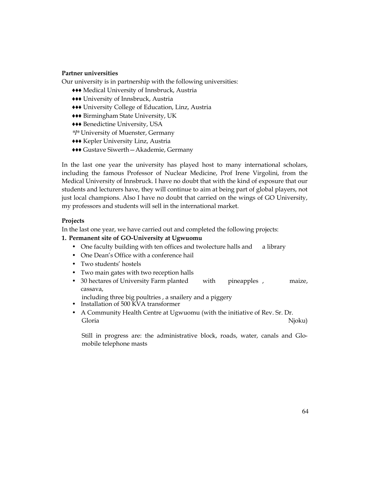### **Partner universities**

Our university is in partnership with the following universities:

- ♦♦♦ Medical University of Innsbruck, Austria
- ♦♦♦ University of Innsbruck, Austria
- ♦♦♦ University College of Education, Linz, Austria
- ♦♦♦ Birmingham State University, UK
- ♦♦♦ Benedictine University, USA
- *\*1\** University of Muenster, Germany
- ♦♦♦ Kepler University Linz, Austria
- ♦♦♦ Gustave Siwerth—Akademie, Germany

In the last one year the university has played host to many international scholars, including the famous Professor of Nuclear Medicine, Prof Irene Virgolini, from the Medical University of Innsbruck. I have no doubt that with the kind of exposure that our students and lecturers have, they will continue to aim at being part of global players, not just local champions. Also I have no doubt that carried on the wings of GO University, my professors and students will sell in the international market.

### **Projects**

In the last one year, we have carried out and completed the following projects:

### **1. Permanent site of GO-University at Ugwuomu**

- One faculty building with ten offices and twolecture halls and a library
- One Dean's Office with a conference hail
- Two students' hostels
- Two main gates with two reception halls
- 30 hectares of University Farm planted with pineapples , maize, cassava,

including three big poultries , a snailery and a piggery

- Installation of 500 KVA transformer
- A Community Health Centre at Ugwuomu (with the initiative of Rev. Sr. Dr. Gloria Njoku)

Still in progress are: the administrative block, roads, water, canals and Glomobile telephone masts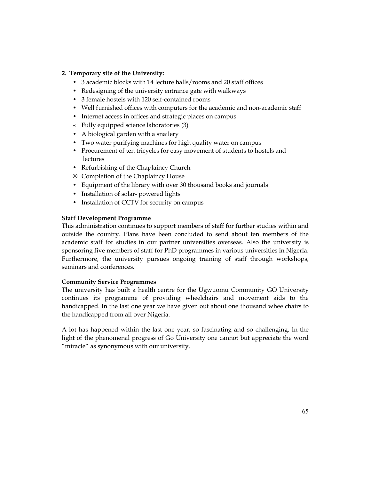# **2. Temporary site of the University:**

- 3 academic blocks with 14 lecture halls/rooms and 20 staff offices
- Redesigning of the university entrance gate with walkways
- 3 female hostels with 120 self-contained rooms
- Well furnished offices with computers for the academic and non-academic staff
- Internet access in offices and strategic places on campus
- « Fully equipped science laboratories (3)
- A biological garden with a snailery
- Two water purifying machines for high quality water on campus
- Procurement of ten tricycles for easy movement of students to hostels and lectures
- Refurbishing of the Chaplaincy Church
- ® Completion of the Chaplaincy House
- Equipment of the library with over 30 thousand books and journals
- Installation of solar- powered lights
- Installation of CCTV for security on campus

## **Staff Development Programme**

This administration continues to support members of staff for further studies within and outside the country. Plans have been concluded to send about ten members of the academic staff for studies in our partner universities overseas. Also the university is sponsoring five members of staff for PhD programmes in various universities in Nigeria. Furthermore, the university pursues ongoing training of staff through workshops, seminars and conferences.

## **Community Service Programmes**

The university has built a health centre for the Ugwuomu Community GO University continues its programme of providing wheelchairs and movement aids to the handicapped. In the last one year we have given out about one thousand wheelchairs to the handicapped from all over Nigeria.

A lot has happened within the last one year, so fascinating and so challenging. In the light of the phenomenal progress of Go University one cannot but appreciate the word "miracle" as synonymous with our university.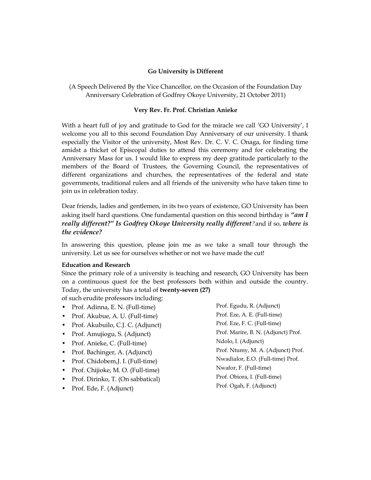## **Go University is Different**

(A Speech Delivered By the Vice Chancellor, on the Occasion of the Foundation Day Anniversary Celebration of Godfrey Okoye University, 21 October 2011)

#### **Very Rev. Fr. Prof. Christian Anieke**

With a heart full of joy and gratitude to God for the miracle we call 'GO University', I welcome you all to this second Foundation Day Anniversary of our university. I thank especially the Visitor of the university, Most Rev. Dr. C. V. C. Onaga, for finding time amidst a thicket of Episcopal duties to attend this ceremony and for celebrating the Anniversary Mass for us. I would like to express my deep gratitude particularly to the members of the Board of Trustees, the Governing Council, the representatives of different organizations and churches, the representatives of the federal and state governments, traditional rulers and all friends of the university who have taken time to join us in celebration today.

Dear friends, ladies and gentlemen, in its two years of existence, GO University has been asking itself hard questions. One fundamental question on this second birthday is *"am I really different?" Is Godfrey Okoye University really different?* and if so, *where is the evidence?*

In answering this question, please join me as we take a small tour through the university. Let us see for ourselves whether or not we have made the cut!

#### **Education and Research**

Since the primary role of a university is teaching and research, GO University has been on a continuous quest for the best professors both within and outside the country. Today, the university has a total of **twenty-seven (27)** 

of such erudite professors including:

- Prof. Adinna, E. N. (Full-time)
- Prof. Akubue, A. U. (Full-time)
- Prof. Akubuilo, C.J. C. (Adjunct)
- Prof. Amujiogu, S. (Adjunct)
- Prof. Anieke, C. (Full-time)
- Prof. Bachinger, A. (Adjunct)
- Prof. Chidobem, J. I. (Full-time)
- Prof. Chijioke, M. O. (Full-time)
- Prof. Dirinko, T. (On sabbatical)
- Prof. Ede, F. (Adjunct)

Prof. Egudu, R. (Adjunct) Prof. Eze, A. E. (Full-time) Prof. Eze, F. C. (Full-time) Prof. Marire, B. N. (Adjunct) Prof. Ndolo, I. (Adjunct) Prof. Ntumy, M. A. (Adjunct) Prof.

Nwadialor, E.O. (Full-time) Prof. Nwafor, F. (Full-time)

- Prof. Obiora, I. (Full-time)
- Prof. Ogah, F. (Adjunct)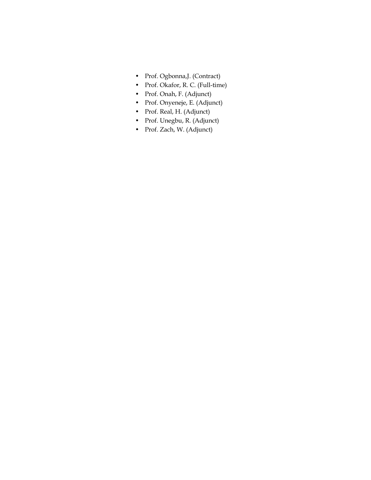- Prof. Ogbonna,J. (Contract)
- Prof. Okafor, R. C. (Full-time)
- Prof. Onah, F. (Adjunct)
- Prof. Onyeneje, E. (Adjunct)
- Prof. Real, H. (Adjunct)
- Prof. Unegbu, R. (Adjunct)
- Prof. Zach, W. (Adjunct)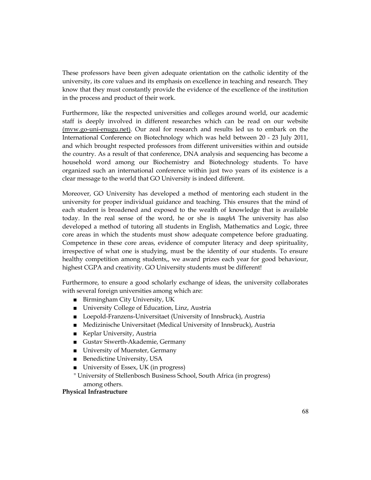These professors have been given adequate orientation on the catholic identity of the university, its core values and its emphasis on excellence in teaching and research. They know that they must constantly provide the evidence of the excellence of the institution in the process and product of their work.

Furthermore, like the respected universities and colleges around world, our academic staff is deeply involved in different researches which can be read on our website (mvw.go-uni-enugu.net). Our zeal for research and results led us to embark on the International Conference on Biotechnology which was held between 20 - 23 July 2011, and which brought respected professors from different universities within and outside the country. As a result of that conference, DNA analysis and sequencing has become a household word among our Biochemistry and Biotechnology students. To have organized such an international conference within just two years of its existence is a clear message to the world that GO University is indeed different.

Moreover, GO University has developed a method of mentoring each student in the university for proper individual guidance and teaching. This ensures that the mind of each student is broadened and exposed to the wealth of knowledge that is available today. In the real sense of the word, he or she is *taughA* The university has also developed a method of tutoring all students in English, Mathematics and Logic, three core areas in which the students must show adequate competence before graduating. Competence in these core areas, evidence of computer literacy and deep spirituality, irrespective of what one is studying, must be the identity of our students. To ensure healthy competition among students,, we award prizes each year for good behaviour, highest CGPA and creativity. GO University students must be different!

Furthermore, to ensure a good scholarly exchange of ideas, the university collaborates with several foreign universities among which are:

- Birmingham City University, UK
- University College of Education, Linz, Austria
- Loepold-Franzens-Universitaet (University of Innsbruck), Austria
- Medizinische Universitaet (Medical University of Innsbruck), Austria
- Keplar University, Austria
- Gustav Siwerth-Akademie, Germany
- University of Muenster, Germany
- Benedictine University, USA
- University of Essex, UK (in progress)
- " University of Stellenbosch Business School, South Africa (in progress) among others.

#### **Physical Infrastructure**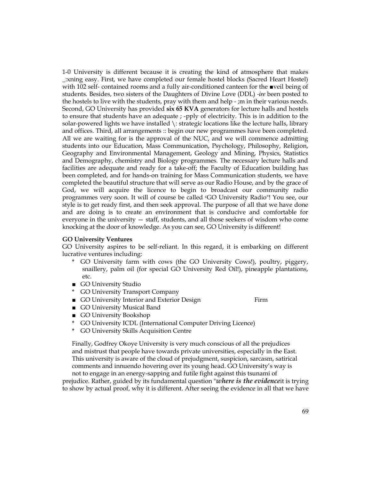1-0 University is different because it is creating the kind of atmosphere that makes \_:xning easy. First, we have completed our female hostel blocks (Sacred Heart Hostel) with 102 self- contained rooms and a fully air-conditioned canteen for the ■veil being of students. Besides, two sisters of the Daughters of Divine Love (DDL) *-ire* been posted to the hostels to live with the students, pray with them and help - ;m in their various needs. Second, GO University has provided **six 65 KVA** generators for lecture halls and hostels to ensure that students have an adequate ; -pply of electricity. This is in addition to the solar-powered lights we have installed \: strategic locations like the lecture halls, library and offices. Third, all arrangements :: begin our new programmes have been completed. All we are waiting for is the approval of the NUC, and we will commence admitting students into our Education, Mass Communication, Psychology, Philosophy, Religion, Geography and Environmental Management, Geology and Mining, Physics, Statistics and Demography, chemistry and Biology programmes. The necessary lecture halls and facilities are adequate and ready for a take-off; the Faculty of Education building has been completed, and for hands-on training for Mass Communication students, we have completed the beautiful structure that will serve as our Radio House, and by the grace of God, we will acquire the licence to begin to broadcast our community radio programmes very soon. It will of course be called cGO University Radio"! You see, our style is to get ready first, and then seek approval. The purpose of all that we have done and are doing is to create an environment that is conducive and comfortable for everyone in the university — staff, students, and all those seekers of wisdom who come knocking at the door of knowledge. As you can see, GO University is different!

#### **GO University Ventures**

GO University aspires to be self-reliant. In this regard, it is embarking on different lucrative ventures including:

- \* GO University farm with cows (the GO University Cows!), poultry, piggery, snaillery, palm oil (for special GO University Red Oil!), pineapple plantations, etc.
- GO University Studio
- \* GO University Transport Company
- GO University Interior and Exterior Design Firm
- GO University Musical Band
- GO University Bookshop
- \* GO University ICDL (International Computer Driving Licence)
- GO University Skills Acquisition Centre

Finally, Godfrey Okoye University is very much conscious of all the prejudices and mistrust that people have towards private universities, especially in the East. This university is aware of the cloud of prejudgment, suspicion, sarcasm, satirical comments and innuendo hovering over its young head. GO University's way is not to engage in an energy-sapping and futile fight against this tsunami of

prejudice. Rather, guided by its fundamental question "*where is the evidence*it is trying to show by actual proof, why it is different. After seeing the evidence in all that we have